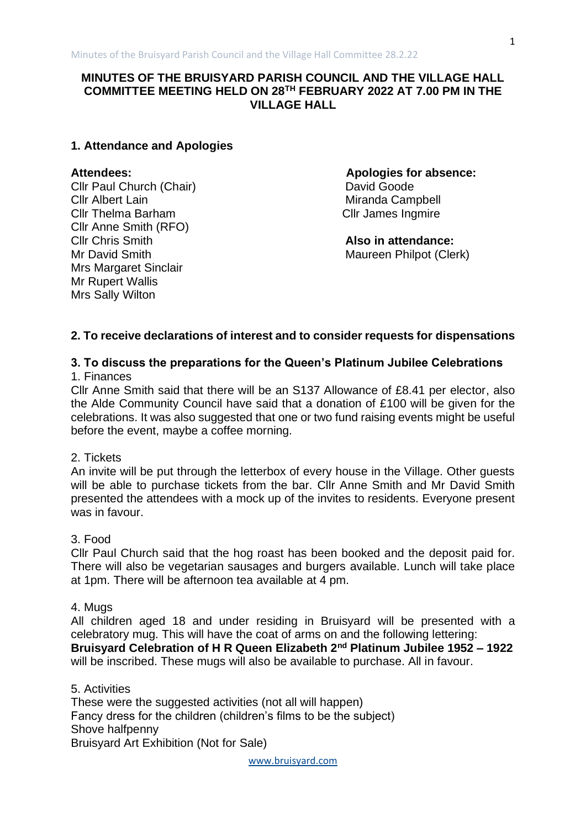# **MINUTES OF THE BRUISYARD PARISH COUNCIL AND THE VILLAGE HALL COMMITTEE MEETING HELD ON 28TH FEBRUARY 2022 AT 7.00 PM IN THE VILLAGE HALL**

## **1. Attendance and Apologies**

Cllr Paul Church (Chair) David Goode **Clir Albert Lain** Miranda Campbell Cllr Thelma Barham Cllr James Ingmire Cllr Anne Smith (RFO) Cllr Chris Smith **Also in attendance:** Mrs Margaret Sinclair Mr Rupert Wallis Mrs Sally Wilton

**Attendees: Apologies for absence:**

Maureen Philpot (Clerk)

### **2. To receive declarations of interest and to consider requests for dispensations**

### **3. To discuss the preparations for the Queen's Platinum Jubilee Celebrations** 1. Finances

Cllr Anne Smith said that there will be an S137 Allowance of £8.41 per elector, also the Alde Community Council have said that a donation of £100 will be given for the celebrations. It was also suggested that one or two fund raising events might be useful before the event, maybe a coffee morning.

## 2. Tickets

An invite will be put through the letterbox of every house in the Village. Other guests will be able to purchase tickets from the bar. Cllr Anne Smith and Mr David Smith presented the attendees with a mock up of the invites to residents. Everyone present was in favour.

### 3. Food

Cllr Paul Church said that the hog roast has been booked and the deposit paid for. There will also be vegetarian sausages and burgers available. Lunch will take place at 1pm. There will be afternoon tea available at 4 pm.

### 4. Mugs

All children aged 18 and under residing in Bruisyard will be presented with a celebratory mug. This will have the coat of arms on and the following lettering:

**Bruisyard Celebration of H R Queen Elizabeth 2nd Platinum Jubilee 1952 – 1922** will be inscribed. These mugs will also be available to purchase. All in favour.

5. Activities These were the suggested activities (not all will happen) Fancy dress for the children (children's films to be the subject) Shove halfpenny Bruisyard Art Exhibition (Not for Sale)

[www.bruisyard.com](http://www.bruisyard.com/)